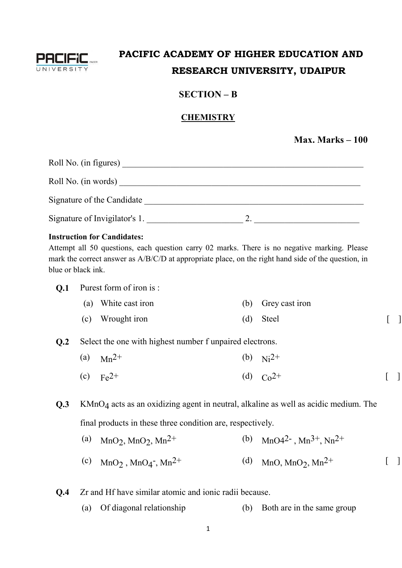

## **PACIFIC ACADEMY OF HIGHER EDUCATION AND RESEARCH UNIVERSITY, UDAIPUR**

## **SECTION – B**

## **CHEMISTRY**

**Max. Marks – 100**

| Roll No. (in figures)         |  |
|-------------------------------|--|
| Roll No. (in words)           |  |
| Signature of the Candidate    |  |
| Signature of Invigilator's 1. |  |

#### **Instruction for Candidates:**

Attempt all 50 questions, each question carry 02 marks. There is no negative marking. Please mark the correct answer as A/B/C/D at appropriate place, on the right hand side of the question, in blue or black ink.

#### **Q.1** Purest form of iron is :

| (a) White cast iron | (b) Grey cast iron |  |
|---------------------|--------------------|--|
| (c) Wrought iron    | (d) Steel          |  |

#### **Q.2** Select the one with highest number f unpaired electrons.

- (a)  $Mn^{2+}$  (b)  $Ni^{2+}$
- (c)  $Fe^{2+}$  (d)  $Co^{2+}$  [ ]

**Q.3** KMnO<sub>4</sub> acts as an oxidizing agent in neutral, alkaline as well as acidic medium. The final products in these three condition are, respectively.

- (a)  $MnO<sub>2</sub>$ ,  $MnO<sub>2</sub>$ (b)  $MnO4^{2}$ ,  $Mn^{3+}$ ,  $Nn^{2+}$
- $\text{(c)} \quad \text{MnO}_2$ , MnO<sub>4</sub> ,  $Mn^{2+}$  (d)  $MnO$ ,  $MnO_2$ ,  $Mn^{2+}$  [ ]

**Q.4** Zr and Hf have similar atomic and ionic radii because.

(a) Of diagonal relationship (b) Both are in the same group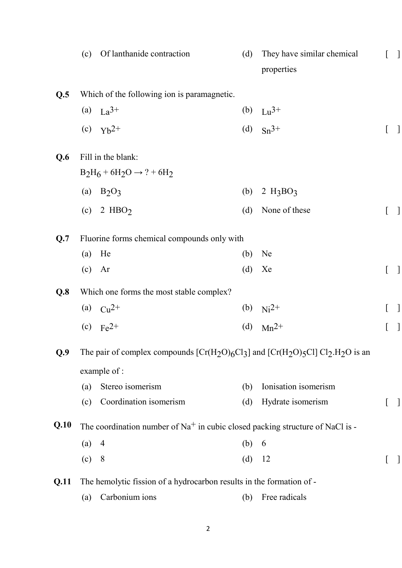|      | (c) | Of lanthanide contraction                                                             | (d) | They have similar chemical<br>properties |   |  |
|------|-----|---------------------------------------------------------------------------------------|-----|------------------------------------------|---|--|
| Q.5  |     | Which of the following ion is paramagnetic.                                           |     |                                          |   |  |
|      |     | (a) $La^{3+}$                                                                         |     | (b) $Lu^{3+}$                            |   |  |
|      |     | (c) $Yb^{2+}$                                                                         |     | (d) $Sn^{3+}$                            |   |  |
| Q.6  |     | Fill in the blank:                                                                    |     |                                          |   |  |
|      |     | $B_2H_6 + 6H_2O \rightarrow ? + 6H_2$                                                 |     |                                          |   |  |
|      | (a) | $B_2O_3$                                                                              | (b) | $2 H_3BO_3$                              |   |  |
|      | (c) | 2 HBO <sub>2</sub>                                                                    | (d) | None of these                            |   |  |
| Q.7  |     | Fluorine forms chemical compounds only with                                           |     |                                          |   |  |
|      | (a) | He                                                                                    | (b) | Ne                                       |   |  |
|      |     | $(c)$ Ar                                                                              | (d) | Xe                                       | L |  |
| Q.8  |     | Which one forms the most stable complex?                                              |     |                                          |   |  |
|      |     | (a) $Cu^{2+}$                                                                         |     | (b) $Ni^{2+}$                            |   |  |
|      |     | (c) $Fe^{2+}$                                                                         | (d) | $Mn^{2+}$                                |   |  |
| Q.9  |     | The pair of complex compounds $[Cr(H_2O)_6Cl_3]$ and $[Cr(H_2O)_5Cl] Cl_2.H_2O$ is an |     |                                          |   |  |
|      |     | example of :                                                                          |     |                                          |   |  |
|      | (a) | Stereo isomerism                                                                      | (b) | Ionisation isomerism                     |   |  |
|      | (c) | Coordination isomerism                                                                | (d) | Hydrate isomerism                        |   |  |
| Q.10 |     | The coordination number of $Na+$ in cubic closed packing structure of NaCl is -       |     |                                          |   |  |
|      | (a) | $\overline{4}$                                                                        | (b) | 6                                        |   |  |
|      | (c) | 8                                                                                     | (d) | 12                                       |   |  |
| Q.11 |     | The hemolytic fission of a hydrocarbon results in the formation of -                  |     |                                          |   |  |
|      | (a) | Carbonium ions                                                                        | (b) | Free radicals                            |   |  |
|      |     |                                                                                       |     |                                          |   |  |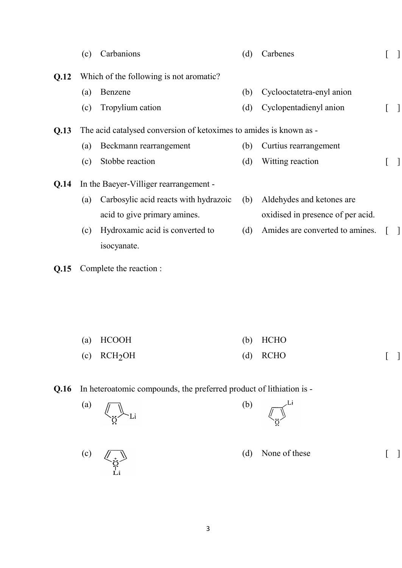|      | (c) | Carbanions                                                         | (d) | Carbenes                          |  |
|------|-----|--------------------------------------------------------------------|-----|-----------------------------------|--|
| Q.12 |     | Which of the following is not aromatic?                            |     |                                   |  |
|      | (a) | Benzene                                                            | (b) | Cyclooctatetra-enyl anion         |  |
|      | (c) | Tropylium cation                                                   | (d) | Cyclopentadienyl anion            |  |
| Q.13 |     | The acid catalysed conversion of ketoximes to amides is known as - |     |                                   |  |
|      | (a) | Beckmann rearrangement                                             | (b) | Curtius rearrangement             |  |
|      | (c) | Stobbe reaction                                                    | (d) | Witting reaction                  |  |
| Q.14 |     | In the Baeyer-Villiger rearrangement -                             |     |                                   |  |
|      | (a) | Carbosylic acid reacts with hydrazoic                              | (b) | Aldehydes and ketones are.        |  |
|      |     | acid to give primary amines.                                       |     | oxidised in presence of per acid. |  |
|      | (c) | Hydroxamic acid is converted to                                    | (d) | Amides are converted to amines.   |  |
|      |     | isocyanate.                                                        |     |                                   |  |

**Q.15** Complete the reaction :

| (a) HCOOH                 | $(b)$ HCHO |  |
|---------------------------|------------|--|
| $(c)$ RCH <sub>2</sub> OH | $(d)$ RCHO |  |

**Q.16** In heteroatomic compounds, the preferred product of lithiation is -

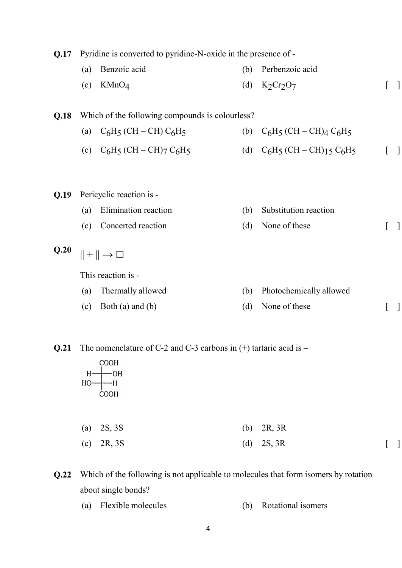**Q.17** Pyridine is converted to pyridine-N-oxide in the presence of -

(a) Benzoic acid (b) Perbenzoic acid  $\text{KMnO}_4$ (d)  $K_2Cr_2O_7$  $\lceil \; \rceil$ 

#### **Q.18** Which of the following compounds is colourless?

| (a) $C_6H_5$ (CH = CH) $C_6H_5$   | (b) $C_6H_5$ (CH = CH) <sub>4</sub> $C_6H_5$  |                                   |
|-----------------------------------|-----------------------------------------------|-----------------------------------|
| (c) $C_6H_5$ (CH = CH) $7 C_6H_5$ | (d) $C_6H_5$ (CH = CH) <sub>15</sub> $C_6H_5$ | $\begin{bmatrix} 1 \end{bmatrix}$ |

- **Q.19** Pericyclic reaction is
	- (a) Elimination reaction (b) Substitution reaction
	- (c) Concerted reaction (d) None of these [ ]

 $Q.20$   $|| + || \rightarrow \Box$ 

This reaction is -

- (a) Thermally allowed (b) Photochemically allowed
- (c) Both (a) and (b)  $(d)$  None of these  $\lceil \quad \rceil$

**Q.21** The nomenclature of C-2 and C-3 carbons in (+) tartaric acid is –

COOH  $H \longrightarrow H$ **COOH** 

| (a) $2S, 3S$ | (b) $2R, 3R$ |  |
|--------------|--------------|--|
| (c) 2R, 3S   | (d) $2S, 3R$ |  |

**Q.22** Which of the following is not applicable to molecules that form isomers by rotation about single bonds?

(a) Flexible molecules (b) Rotational isomers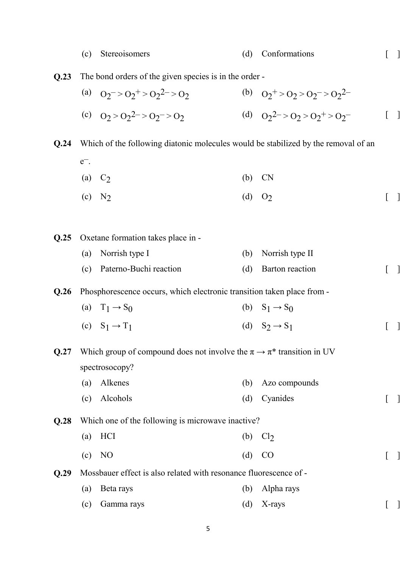|      | (c)     | Stereoisomers                                                                         | (d) | Conformations                     |  |
|------|---------|---------------------------------------------------------------------------------------|-----|-----------------------------------|--|
| Q.23 |         | The bond orders of the given species is in the order -                                |     |                                   |  |
|      |         | (a) $Q_2$ = > $Q_2$ + > $Q_2$ 2 = > $Q_2$                                             |     | (b) $Q_2^+ > Q_2 > Q_2^- > Q_2^2$ |  |
|      |         | (c) $Q_2 > Q_2^2 > Q_2^2 > Q_2$                                                       |     | (d) $Q_2^2 > Q_2 > Q_2^+ > Q_2^-$ |  |
| Q.24 |         | Which of the following diatonic molecules would be stabilized by the removal of an    |     |                                   |  |
|      | $e^-$ . |                                                                                       |     |                                   |  |
|      | (a)     | C <sub>2</sub>                                                                        | (b) | <b>CN</b>                         |  |
|      | (c)     | N <sub>2</sub>                                                                        |     | (d) $O_2$                         |  |
| Q.25 |         | Oxetane formation takes place in -                                                    |     |                                   |  |
|      | (a)     | Norrish type I                                                                        | (b) | Norrish type II                   |  |
|      | (c)     | Paterno-Buchi reaction                                                                | (d) | Barton reaction                   |  |
| Q.26 |         | Phosphorescence occurs, which electronic transition taken place from -                |     |                                   |  |
|      |         | (a) $T_1 \rightarrow S_0$                                                             |     | (b) $S_1 \rightarrow S_0$         |  |
|      |         | (c) $S_1 \rightarrow T_1$                                                             |     | (d) $S_2 \rightarrow S_1$         |  |
| Q.27 |         | Which group of compound does not involve the $\pi \rightarrow \pi^*$ transition in UV |     |                                   |  |
|      |         | spectrosocopy?                                                                        |     |                                   |  |
|      | (a)     | Alkenes                                                                               | (b) | Azo compounds                     |  |
|      | (c)     | Alcohols                                                                              | (d) | Cyanides                          |  |
| Q.28 |         | Which one of the following is microwave inactive?                                     |     |                                   |  |
|      | (a)     | HCI                                                                                   | (b) | Cl <sub>2</sub>                   |  |
|      | (c)     | N <sub>O</sub>                                                                        | (d) | CO                                |  |
| Q.29 |         | Mossbauer effect is also related with resonance fluorescence of -                     |     |                                   |  |
|      | (a)     | Beta rays                                                                             | (b) | Alpha rays                        |  |
|      | (c)     | Gamma rays                                                                            | (d) | X-rays                            |  |

5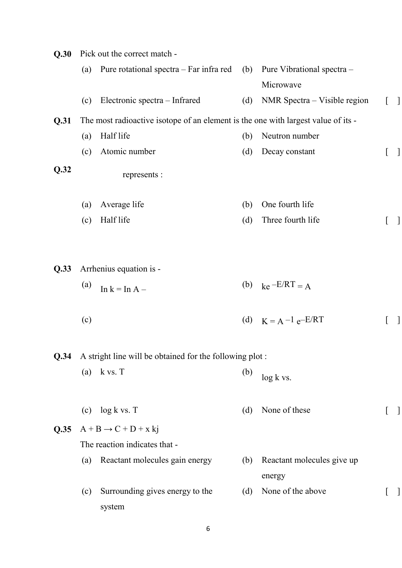| Q.30 |     | Pick out the correct match -                                                      |     |                              |              |
|------|-----|-----------------------------------------------------------------------------------|-----|------------------------------|--------------|
|      | (a) | Pure rotational spectra $-$ Far infra red (b)                                     |     | Pure Vibrational spectra -   |              |
|      |     |                                                                                   |     | Microwave                    |              |
|      | (c) | Electronic spectra – Infrared                                                     | (d) | NMR Spectra – Visible region | $\mathbf{I}$ |
| Q.31 |     | The most radioactive isotope of an element is the one with largest value of its - |     |                              |              |
|      | (a) | Half life                                                                         | (b) | Neutron number               |              |
|      | (c) | Atomic number                                                                     | (d) | Decay constant               |              |
| Q.32 |     | represents :                                                                      |     |                              |              |
|      | (a) | Average life                                                                      | (b) | One fourth life              |              |
|      | (c) | Half life                                                                         | (d) | Three fourth life            |              |
|      |     |                                                                                   |     |                              |              |
| Q.33 |     | Arrhenius equation is -                                                           |     |                              |              |
|      | (a) | In $k = \text{In } A -$                                                           |     | (b) $ke^{-E/RT} = A$         |              |
|      | (c) |                                                                                   |     | (d) $K = A^{-1} e^{-E/RT}$   |              |
| Q.34 |     | A stright line will be obtained for the following plot:                           |     |                              |              |
|      | (a) | k vs. T                                                                           | (b) | $log k$ vs.                  |              |
|      | (c) | $log k$ vs. $T$                                                                   | (d) | None of these                |              |
| Q.35 |     | $A + B \rightarrow C + D + x$ kj                                                  |     |                              |              |
|      |     | The reaction indicates that -                                                     |     |                              |              |
|      | (a) | Reactant molecules gain energy                                                    | (b) | Reactant molecules give up   |              |
|      |     |                                                                                   |     | energy                       |              |
|      | (c) | Surrounding gives energy to the                                                   | (d) | None of the above            |              |
|      |     | system                                                                            |     |                              |              |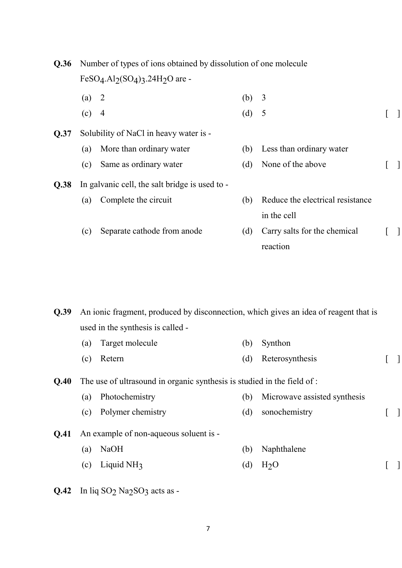| <b>Q.36</b> | Number of types of ions obtained by dissolution of one molecule |                                                |     |                                  |  |  |  |  |  |
|-------------|-----------------------------------------------------------------|------------------------------------------------|-----|----------------------------------|--|--|--|--|--|
|             |                                                                 | $FeSO4.Al2(SO4)3.24H2O are -$                  |     |                                  |  |  |  |  |  |
|             | (a)                                                             | $\overline{2}$                                 | (b) | $\overline{3}$                   |  |  |  |  |  |
|             | (c)                                                             | $\overline{4}$                                 | (d) | 5                                |  |  |  |  |  |
| Q.37        |                                                                 | Solubility of NaCl in heavy water is -         |     |                                  |  |  |  |  |  |
|             | (a)                                                             | More than ordinary water                       | (b) | Less than ordinary water         |  |  |  |  |  |
|             | (c)                                                             | Same as ordinary water                         | (d) | None of the above                |  |  |  |  |  |
| Q.38        |                                                                 | In galvanic cell, the salt bridge is used to - |     |                                  |  |  |  |  |  |
|             | (a)                                                             | Complete the circuit                           | (b) | Reduce the electrical resistance |  |  |  |  |  |
|             |                                                                 |                                                |     | in the cell                      |  |  |  |  |  |
|             | (c)                                                             | Separate cathode from anode                    | (d) | Carry salts for the chemical     |  |  |  |  |  |
|             |                                                                 |                                                |     | reaction                         |  |  |  |  |  |
|             |                                                                 |                                                |     |                                  |  |  |  |  |  |
|             |                                                                 |                                                |     |                                  |  |  |  |  |  |

**Q.39** An ionic fragment, produced by disconnection, which gives an idea of reagent that is used in the synthesis is called -

- (a) Target molecule (b) Synthon
	- (c) Retern (d) Reterosynthesis [ ]

**Q.40** The use of ultrasound in organic synthesis is studied in the field of :

- (a) Photochemistry (b) Microwave assisted synthesis
- (c) Polymer chemistry (d) sonochemistry [ ]
- **Q.41** An example of non-aqueous soluent is
	- (a) NaOH (b) Naphthalene
	- (c) Liquid NH3 (d)  $H_2O$  [ ]
- $Q.42$  In liq SO<sub>2</sub> Na<sub>2</sub>SO<sub>3</sub> acts as -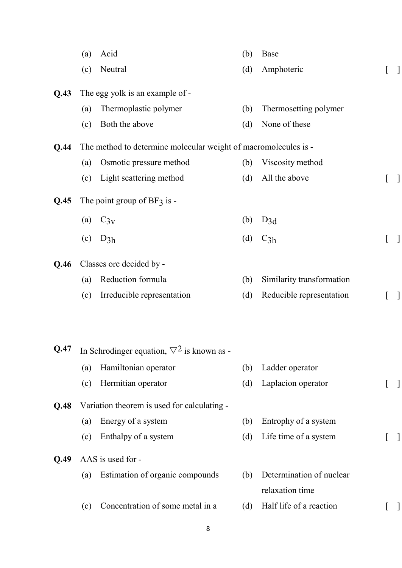|      | (a) | Acid                                                            | (b) | <b>Base</b>               |                  |  |
|------|-----|-----------------------------------------------------------------|-----|---------------------------|------------------|--|
|      | (c) | Neutral                                                         | (d) | Amphoteric                | $\lfloor$        |  |
| Q.43 |     | The egg yolk is an example of -                                 |     |                           |                  |  |
|      | (a) | Thermoplastic polymer                                           | (b) | Thermosetting polymer     |                  |  |
|      | (c) | Both the above                                                  | (d) | None of these             |                  |  |
|      |     |                                                                 |     |                           |                  |  |
| Q.44 |     | The method to determine molecular weight of macromolecules is - |     |                           |                  |  |
|      | (a) | Osmotic pressure method                                         | (b) | Viscosity method          |                  |  |
|      | (c) | Light scattering method                                         | (d) | All the above             | $\left[ \right]$ |  |
| Q.45 |     | The point group of $BF_3$ is -                                  |     |                           |                  |  |
|      | (a) | $C_{3v}$                                                        | (b) | $D_{3d}$                  |                  |  |
|      | (c) | $D_{3h}$                                                        | (d) | $C_{3h}$                  |                  |  |
| Q.46 |     | Classes ore decided by -                                        |     |                           |                  |  |
|      | (a) | Reduction formula                                               | (b) | Similarity transformation |                  |  |
|      | (c) | Irreducible representation                                      | (d) | Reducible representation  |                  |  |
|      |     |                                                                 |     |                           |                  |  |
| Q.47 |     | In Schrodinger equation, $\nabla^2$ is known as -               |     |                           |                  |  |
|      |     |                                                                 |     |                           |                  |  |
|      | (a) | Hamiltonian operator                                            | (b) | Ladder operator           |                  |  |
|      | (c) | Hermitian operator                                              | (d) | Laplacion operator        |                  |  |
| Q.48 |     | Variation theorem is used for calculating -                     |     |                           |                  |  |
|      | (a) | Energy of a system                                              | (b) | Entrophy of a system      |                  |  |
|      | (c) | Enthalpy of a system                                            | (d) | Life time of a system     |                  |  |
| Q.49 |     | AAS is used for -                                               |     |                           |                  |  |
|      | (a) | Estimation of organic compounds                                 | (b) | Determination of nuclear  |                  |  |
|      |     |                                                                 |     | relaxation time           |                  |  |
|      | (c) | Concentration of some metal in a                                | (d) | Half life of a reaction   |                  |  |
|      |     |                                                                 |     |                           |                  |  |